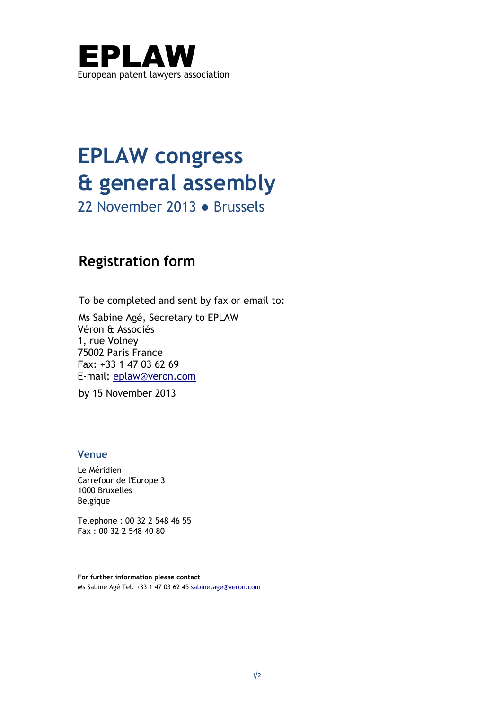

## **EPLAW congress & general assembly**

22 November 2013 ● Brussels

## **Registration form**

To be completed and sent by fax or email to:

Ms Sabine Agé, Secretary to EPLAW Véron & Associés 1, rue Volney 75002 Paris France Fax: +33 1 47 03 62 69 E-mail: eplaw@veron.com

by 15 November 2013

## **Venue**

Le Méridien Carrefour de l'Europe 3 1000 Bruxelles Belgique

Telephone : 00 32 2 548 46 55 Fax : 00 32 2 548 40 80

**For further information please contact** Ms Sabine Agé Tel. +33 1 47 03 62 45 sabine.age@veron.com